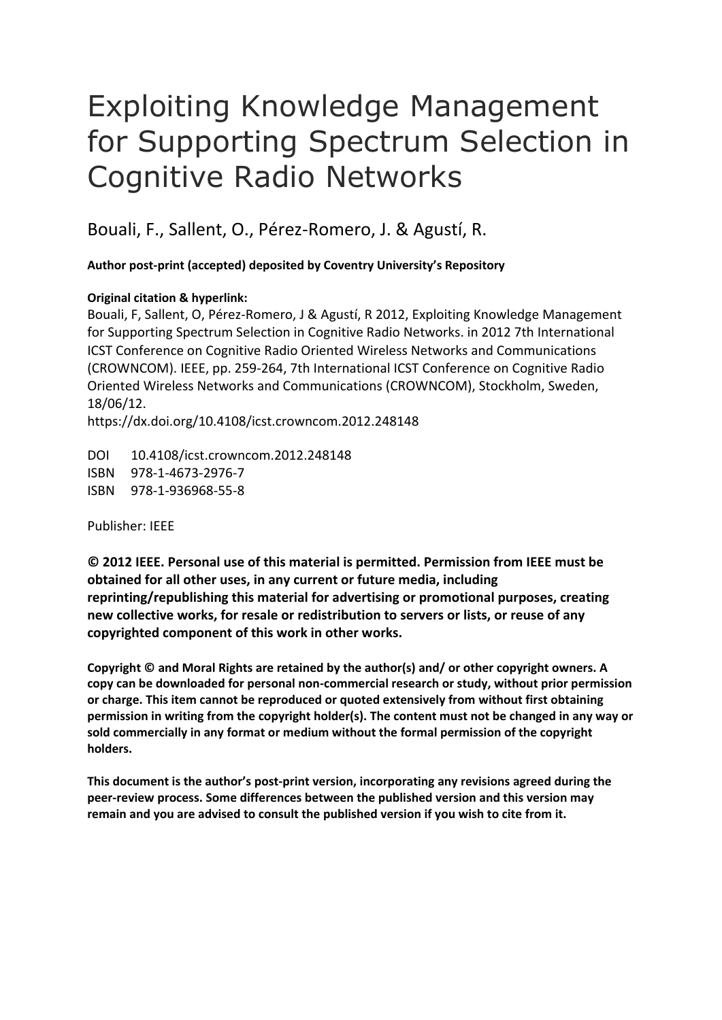# Exploiting Knowledge Management for Supporting Spectrum Selection in Cognitive Radio Networks

Bouali, F., Sallent, O., Pérez-Romero, J. & Agustí, R.

**Author post-print (accepted) deposited by Coventry University's Repository**

### **Original citation & hyperlink:**

Bouali, F, Sallent, O, Pérez-Romero, J & Agustí, R 2012, Exploiting Knowledge Management for Supporting Spectrum Selection in Cognitive Radio Networks. in 2012 7th International ICST Conference on Cognitive Radio Oriented Wireless Networks and Communications (CROWNCOM). IEEE, pp. 259-264, 7th International ICST Conference on Cognitive Radio Oriented Wireless Networks and Communications (CROWNCOM), Stockholm, Sweden, 18/06/12.

https://dx.doi.org/10.4108/icst.crowncom.2012.248148

DOI 10.4108/icst.crowncom.2012.248148 ISBN 978-1-4673-2976-7 ISBN 978-1-936968-55-8

Publisher: IEEE

**© 2012 IEEE. Personal use of this material is permitted. Permission from IEEE must be obtained for all other uses, in any current or future media, including reprinting/republishing this material for advertising or promotional purposes, creating new collective works, for resale or redistribution to servers or lists, or reuse of any copyrighted component of this work in other works.** 

**Copyright © and Moral Rights are retained by the author(s) and/ or other copyright owners. A copy can be downloaded for personal non-commercial research or study, without prior permission or charge. This item cannot be reproduced or quoted extensively from without first obtaining permission in writing from the copyright holder(s). The content must not be changed in any way or sold commercially in any format or medium without the formal permission of the copyright holders.** 

 **peer-review process. Some differences between the published version and this version may This document is the author's post-print version, incorporating any revisions agreed during the remain and you are advised to consult the published version if you wish to cite from it.**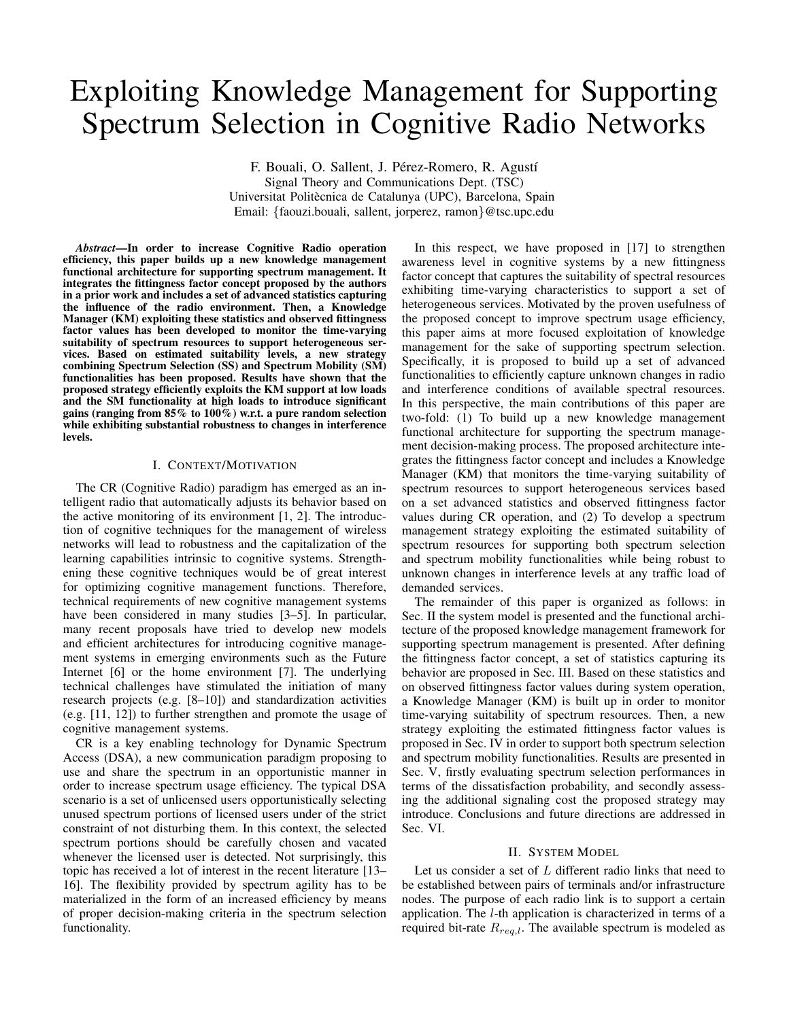## Exploiting Knowledge Management for Supporting Spectrum Selection in Cognitive Radio Networks

F. Bouali, O. Sallent, J. Pérez-Romero, R. Agustí Signal Theory and Communications Dept. (TSC) Universitat Politècnica de Catalunya (UPC), Barcelona, Spain Email: {faouzi.bouali, sallent, jorperez, ramon}@tsc.upc.edu

*Abstract*—In order to increase Cognitive Radio operation effciency, this paper builds up a new knowledge management functional architecture for supporting spectrum management. It integrates the fttingness factor concept proposed by the authors in a prior work and includes a set of advanced statistics capturing the infuence of the radio environment. Then, a Knowledge Manager (KM) exploiting these statistics and observed fttingness factor values has been developed to monitor the time-varying suitability of spectrum resources to support heterogeneous services. Based on estimated suitability levels, a new strategy combining Spectrum Selection (SS) and Spectrum Mobility (SM) functionalities has been proposed. Results have shown that the proposed strategy effciently exploits the KM support at low loads and the SM functionality at high loads to introduce signifcant gains (ranging from 85% to 100%) w.r.t. a pure random selection while exhibiting substantial robustness to changes in interference levels.

#### I. CONTEXT/MOTIVATION

The CR (Cognitive Radio) paradigm has emerged as an intelligent radio that automatically adjusts its behavior based on the active monitoring of its environment  $[1, 2]$ . The introduction of cognitive techniques for the management of wireless networks will lead to robustness and the capitalization of the learning capabilities intrinsic to cognitive systems. Strengthening these cognitive techniques would be of great interest for optimizing cognitive management functions. Therefore, technical requirements of new cognitive management systems have been considered in many studies [3–5]. In particular, many recent proposals have tried to develop new models and efficient architectures for introducing cognitive management systems in emerging environments such as the Future Internet [6] or the home environment [7]. The underlying technical challenges have stimulated the initiation of many research projects (e.g. [8–10]) and standardization activities (e.g. [11, 12]) to further strengthen and promote the usage of cognitive management systems.

CR is a key enabling technology for Dynamic Spectrum Access (DSA), a new communication paradigm proposing to use and share the spectrum in an opportunistic manner in order to increase spectrum usage efficiency. The typical DSA scenario is a set of unlicensed users opportunistically selecting unused spectrum portions of licensed users under of the strict constraint of not disturbing them. In this context, the selected spectrum portions should be carefully chosen and vacated whenever the licensed user is detected. Not surprisingly, this topic has received a lot of interest in the recent literature [13– 16]. The fexibility provided by spectrum agility has to be materialized in the form of an increased efficiency by means of proper decision-making criteria in the spectrum selection functionality.

In this respect, we have proposed in [17] to strengthen awareness level in cognitive systems by a new fttingness factor concept that captures the suitability of spectral resources exhibiting time-varying characteristics to support a set of heterogeneous services. Motivated by the proven usefulness of the proposed concept to improve spectrum usage effciency, this paper aims at more focused exploitation of knowledge management for the sake of supporting spectrum selection. Specifcally, it is proposed to build up a set of advanced functionalities to efficiently capture unknown changes in radio and interference conditions of available spectral resources. In this perspective, the main contributions of this paper are two-fold: (1) To build up a new knowledge management functional architecture for supporting the spectrum management decision-making process. The proposed architecture integrates the fttingness factor concept and includes a Knowledge Manager (KM) that monitors the time-varying suitability of spectrum resources to support heterogeneous services based on a set advanced statistics and observed fttingness factor values during CR operation, and (2) To develop a spectrum management strategy exploiting the estimated suitability of spectrum resources for supporting both spectrum selection and spectrum mobility functionalities while being robust to unknown changes in interference levels at any traffc load of demanded services.

The remainder of this paper is organized as follows: in Sec. II the system model is presented and the functional architecture of the proposed knowledge management framework for supporting spectrum management is presented. After defning the fttingness factor concept, a set of statistics capturing its behavior are proposed in Sec. III. Based on these statistics and on observed fttingness factor values during system operation, a Knowledge Manager (KM) is built up in order to monitor time-varying suitability of spectrum resources. Then, a new strategy exploiting the estimated fttingness factor values is proposed in Sec. IV in order to support both spectrum selection and spectrum mobility functionalities. Results are presented in Sec. V, frstly evaluating spectrum selection performances in terms of the dissatisfaction probability, and secondly assessing the additional signaling cost the proposed strategy may introduce. Conclusions and future directions are addressed in Sec. VI.

#### II. SYSTEM MODEL

Let us consider a set of  $L$  different radio links that need to be established between pairs of terminals and/or infrastructure nodes. The purpose of each radio link is to support a certain application. The l-th application is characterized in terms of a required bit-rate  $R_{req,l}$ . The available spectrum is modeled as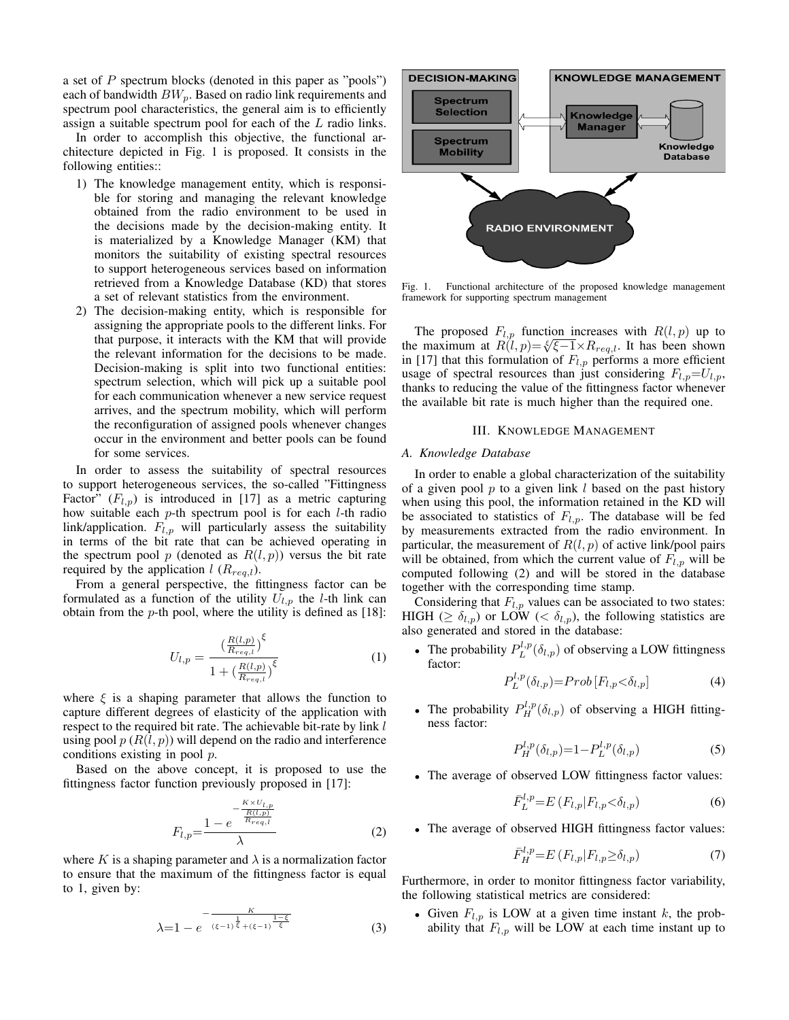a set of P spectrum blocks (denoted in this paper as "pools") each of bandwidth  $BW_p$ . Based on radio link requirements and spectrum pool characteristics, the general aim is to efficiently assign a suitable spectrum pool for each of the L radio links.

In order to accomplish this objective, the functional architecture depicted in Fig. 1 is proposed. It consists in the following entities::

- 1) The knowledge management entity, which is responsible for storing and managing the relevant knowledge obtained from the radio environment to be used in the decisions made by the decision-making entity. It is materialized by a Knowledge Manager (KM) that monitors the suitability of existing spectral resources to support heterogeneous services based on information retrieved from a Knowledge Database (KD) that stores a set of relevant statistics from the environment.
- 2) The decision-making entity, which is responsible for assigning the appropriate pools to the different links. For that purpose, it interacts with the KM that will provide the relevant information for the decisions to be made. Decision-making is split into two functional entities: spectrum selection, which will pick up a suitable pool for each communication whenever a new service request arrives, and the spectrum mobility, which will perform the reconfguration of assigned pools whenever changes occur in the environment and better pools can be found for some services.

In order to assess the suitability of spectral resources to support heterogeneous services, the so-called "Fittingness Factor"  $(F_{l,p})$  is introduced in [17] as a metric capturing how suitable each  $p$ -th spectrum pool is for each  $l$ -th radio link/application.  $F_{l,p}$  will particularly assess the suitability in terms of the bit rate that can be achieved operating in the spectrum pool p (denoted as  $R(l, p)$ ) versus the bit rate required by the application  $l(R_{real.})$ .

From a general perspective, the fttingness factor can be formulated as a function of the utility  $U_{l,p}$  the *l*-th link can obtain from the  $p$ -th pool, where the utility is defined as [18]:

$$
U_{l,p} = \frac{\left(\frac{R(l,p)}{R_{req,l}}\right)^{\xi}}{1 + \left(\frac{R(l,p)}{R_{req,l}}\right)^{\xi}}
$$
(1)

where  $\xi$  is a shaping parameter that allows the function to capture different degrees of elasticity of the application with respect to the required bit rate. The achievable bit-rate by link l using pool  $p(R(l, p))$  will depend on the radio and interference conditions existing in pool p.

Based on the above concept, it is proposed to use the fttingness factor function previously proposed in [17]:

$$
F_{l,p} = \frac{1 - e^{-\frac{K \times U_{l,p}}{R(t,p)}}}{\lambda}
$$
 (2)

where K is a shaping parameter and  $\lambda$  is a normalization factor to ensure that the maximum of the fttingness factor is equal to 1, given by:

$$
\lambda = 1 - e^{-\frac{K}{(\xi - 1)^{\frac{1}{\xi}} + (\xi - 1)^{\frac{1 - \xi}{\xi}}}}
$$
(3)



Fig. 1. Functional architecture of the proposed knowledge management framework for supporting spectrum management

The proposed  $F_{l,p}$  function increases with  $R(l,p)$  up to the maximum at  $R(l, p) = \sqrt[k]{\xi - 1} \times R_{req_{\xi}l}$ . It has been shown in [17] that this formulation of  $F_{l,p}$  performs a more efficient usage of spectral resources than just considering  $F_{l,p}=U_{l,p}$ , thanks to reducing the value of the fttingness factor whenever the available bit rate is much higher than the required one.

#### III. KNOWLEDGE MANAGEMENT

#### *A. Knowledge Database*

In order to enable a global characterization of the suitability of a given pool  $p$  to a given link  $l$  based on the past history when using this pool, the information retained in the KD will be associated to statistics of  $F_{l,p}$ . The database will be fed by measurements extracted from the radio environment. In particular, the measurement of  $R(l, p)$  of active link/pool pairs will be obtained, from which the current value of  $F_{l,p}$  will be computed following (2) and will be stored in the database together with the corresponding time stamp.

Considering that  $F_{l,p}$  values can be associated to two states: HIGH ( $\geq \delta_{l,p}$ ) or LOW ( $\lt \delta_{l,p}$ ), the following statistics are also generated and stored in the database:

• The probability  $P_L^{l,p}(\delta_{l,p})$  of observing a LOW fittingness factor:

$$
P_L^{l,p}(\delta_{l,p}) = Prob[F_{l,p} < \delta_{l,p}]
$$
\n(4)

• The probability  $P_H^{l,p}(\delta_{l,p})$  of observing a HIGH fittingness factor:

$$
P_H^{l,p}(\delta_{l,p}) = 1 - P_L^{l,p}(\delta_{l,p})
$$
\n(5)

• The average of observed LOW fittingness factor values:

$$
\bar{F}_L^{l,p} = E\left(F_{l,p} | F_{l,p} < \delta_{l,p}\right) \tag{6}
$$

• The average of observed HIGH fttingness factor values:

$$
\bar{F}_{H}^{l,p} = E\left(F_{l,p} | F_{l,p} \ge \delta_{l,p}\right) \tag{7}
$$

Furthermore, in order to monitor fttingness factor variability, the following statistical metrics are considered:

• Given  $F_{l,p}$  is LOW at a given time instant k, the probability that  $F_{l,p}$  will be LOW at each time instant up to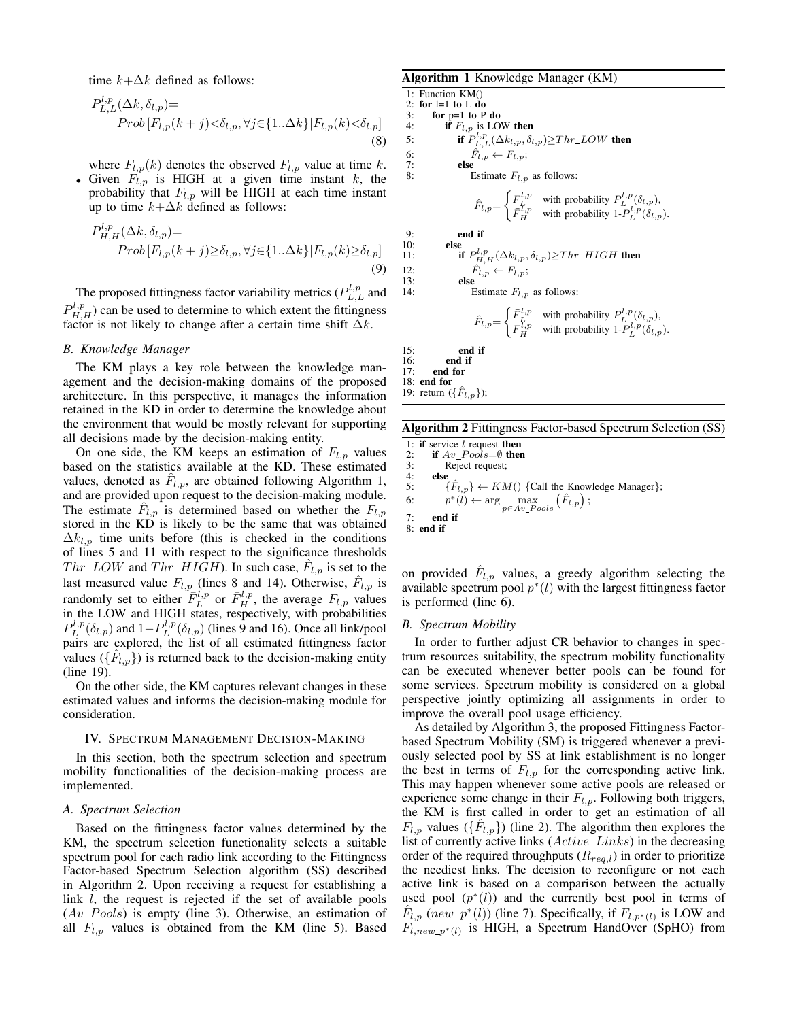time  $k+\Delta k$  defined as follows:

$$
P_{L,L}^{l,p}(\Delta k, \delta_{l,p}) =
$$
  
Prob  $[F_{l,p}(k+j) < \delta_{l,p}, \forall j \in \{1...\Delta k\} | F_{l,p}(k) < \delta_{l,p}]$   
(8)

where  $F_{l,p}(k)$  denotes the observed  $F_{l,p}$  value at time k.

• Given  $F_{l,p}$  is HIGH at a given time instant k, the probability that  $F_{l,p}$  will be HIGH at each time instant up to time  $k+\Delta k$  defined as follows:

$$
P_{H,H}^{l,p}(\Delta k, \delta_{l,p}) =
$$
  
 
$$
Prob[F_{l,p}(k+j) \ge \delta_{l,p}, \forall j \in \{1..\Delta k\} | F_{l,p}(k) \ge \delta_{l,p}]
$$
  
(9)

The proposed fittingness factor variability metrics ( $P_{L,L}^{l,p}$  and  $P_{H,H}^{l,p}$ ) can be used to determine to which extent the fittingness factor is not likely to change after a certain time shift  $\Delta k$ .

#### *B. Knowledge Manager*

The KM plays a key role between the knowledge management and the decision-making domains of the proposed architecture. In this perspective, it manages the information retained in the KD in order to determine the knowledge about the environment that would be mostly relevant for supporting all decisions made by the decision-making entity.

On one side, the KM keeps an estimation of  $F_{l,p}$  values based on the statistics available at the KD. These estimated values, denoted as  $F_{l,p}$ , are obtained following Algorithm 1, and are provided upon request to the decision-making module. The estimate  $F_{l,p}$  is determined based on whether the  $F_{l,p}$ stored in the KD is likely to be the same that was obtained  $\Delta k_{l,p}$  time units before (this is checked in the conditions of lines 5 and 11 with respect to the signifcance thresholds  $Thr\_LOW$  and  $Thr\_HIGH$ ). In such case,  $F_{l,p}$  is set to the last measured value  $\overline{F}_{l,p}$  (lines 8 and 14). Otherwise,  $\hat{F}_{l,p}$  is randomly set to either  $\overline{F}_{L}^{l,p}$  or  $\overline{F}_{H}^{l,p}$ , the average  $F_{l,p}$  values in the LOW and HIGH states, respectively, with probabilities  $P_L^{l,p}(\delta_{l,p})$  and  $1-P_L^{l,p}(\delta_{l,p})$  (lines 9 and 16). Once all link/pool pairs are explored, the list of all estimated fttingness factor values ( $\{\hat{F}_{l,p}\}\$ ) is returned back to the decision-making entity (line 19).

On the other side, the KM captures relevant changes in these estimated values and informs the decision-making module for consideration.

#### IV. SPECTRUM MANAGEMENT DECISION-MAKING

In this section, both the spectrum selection and spectrum mobility functionalities of the decision-making process are implemented.

#### *A. Spectrum Selection*

Based on the fttingness factor values determined by the KM, the spectrum selection functionality selects a suitable spectrum pool for each radio link according to the Fittingness Factor-based Spectrum Selection algorithm (SS) described in Algorithm 2. Upon receiving a request for establishing a link *l*, the request is rejected if the set of available pools  $(Av_{\perp}$ *Pools*) is empty (line 3). Otherwise, an estimation of all  $F_{l,p}$  values is obtained from the KM (line 5). Based

Algorithm 1 Knowledge Manager (KM) 1: Function  $KM()$ <br>2: for  $l=1$  to L do 2: for  $l=1$  to L do 3: for  $p=1$  to P 3: for p=1 to P do<br>4: if  $F_{l,n}$  is LO if  $F_{l,p}$  is LOW then 5: **if**  $P_{L,L}^{l,p}(\Delta k_{l,p}, \delta_{l,p}) \geq Thr\_LOW$  then<br>6:  $\hat{F}_{l,p} \leftarrow F_{l,p};$ 6:  $\hat{F}_{l,p} \leftarrow F_{l,p};$ <br>7: **else** 7: else Estimate  $F_{l,p}$  as follows:  $\hat{F}_{l,p} = \begin{cases} \bar{F}_{L}^{l,p} & \text{with probability } P_{L}^{l,p}(\delta_{l,p}), \\ \bar{F}_{H}^{l,p} & \text{with probability } 1-P_{L}^{l,p}(\delta_{l,p}). \end{cases}$ 9: **end if** 10: **else** 10: **else**<br>11: **if** if  $P_{H,H}^{l,p}(\Delta k_{l,p},\delta_{l,p})\geq Thr\_HIGH$  then 12:  $\hat{F}_{l,p} \leftarrow F_{l,p};$ <br>13: **else** 13: **else**<br>14: **E** Estimate  $F_{l,p}$  as follows:  $\hat{F}_{l,p} = \begin{cases} \bar{F}_{L}^{l,p} & \text{with probability } P_{L}^{l,p}(\delta_{l,p}), \\ \bar{F}_{H}^{l,p} & \text{with probability } 1-P_{L}^{l,p}(\delta_{l,p}). \end{cases}$ 

15: end if<br>16: end if 16: end if<br>17: end for end for 18: end for

19: return  $({F_{l,p}})$ ;

Algorithm 2 Fittingness Factor-based Spectrum Selection (SS)

1: if service *l* request then<br>2: if  $Av\_Pools = \emptyset$  then 2: if  $Av\_Pools = \emptyset$  then<br>3: Reject request; 3: Reject request;<br>4: **else** 4: **else**<br>5:  $\begin{matrix} 4 & 6 \end{matrix}$ 5:  $\{\hat{F}_{l,p}\}\leftarrow KM()$  {Call the Knowledge Manager}; 6:  $p^*(l) \leftarrow \arg \max_{p \in Av\_Pools} (\hat{F}_{l,p})$ ; 7: end if 8: end if

on provided  $\hat{F}_{l,p}$  values, a greedy algorithm selecting the available spectrum pool  $p^*(l)$  with the largest fittingness factor is performed (line 6).

#### *B. Spectrum Mobility*

In order to further adjust CR behavior to changes in spectrum resources suitability, the spectrum mobility functionality can be executed whenever better pools can be found for some services. Spectrum mobility is considered on a global perspective jointly optimizing all assignments in order to improve the overall pool usage efficiency.

As detailed by Algorithm 3, the proposed Fittingness Factorbased Spectrum Mobility (SM) is triggered whenever a previously selected pool by SS at link establishment is no longer the best in terms of  $F_{l,p}$  for the corresponding active link. This may happen whenever some active pools are released or experience some change in their  $F_{l,p}$ . Following both triggers, the KM is frst called in order to get an estimation of all  $F_{l,p}$  values  $(\{F_{l,p}\})$  (line 2). The algorithm then explores the list of currently active links (Active\_Links) in the decreasing order of the required throughputs  $(R_{req,l})$  in order to prioritize the neediest links. The decision to reconfgure or not each active link is based on a comparison between the actually used pool  $(p^*(l))$  and the currently best pool in terms of  $F_{l,p}$  (new\_p<sup>\*</sup>(l)) (line 7). Specifically, if  $F_{l,p^*(l)}$  is LOW and  $F_{l,new\_p^*(l)}$  is HIGH, a Spectrum HandOver (SpHO) from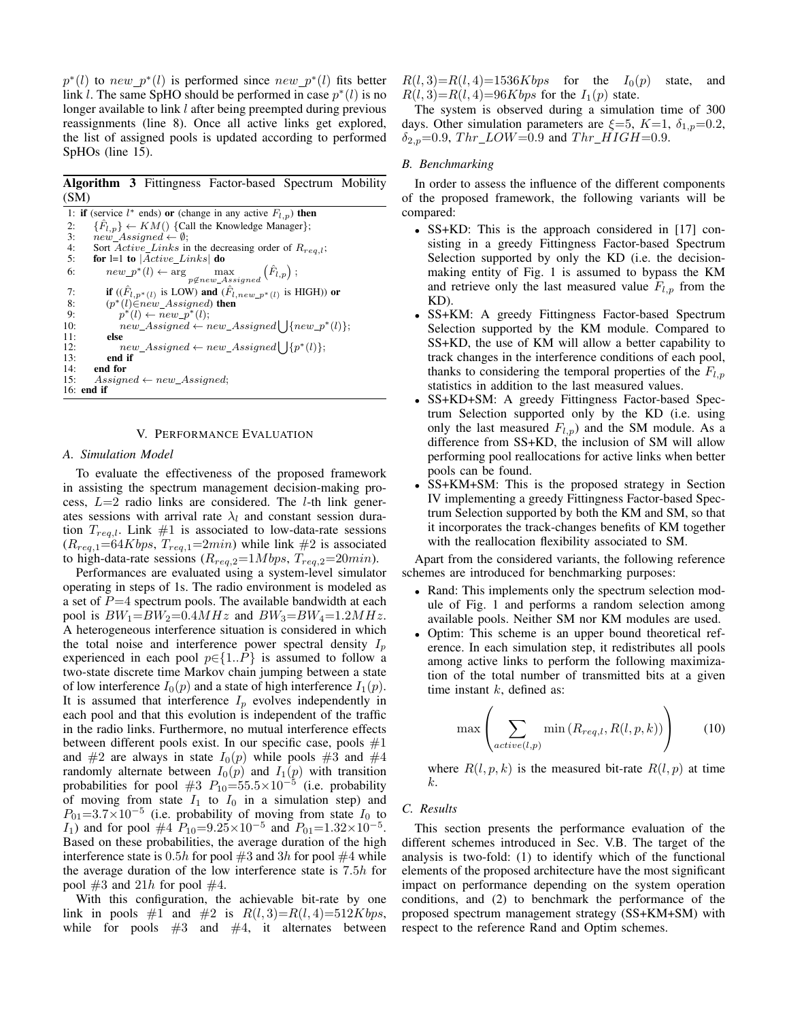$p^*(l)$  to new  $p^*(l)$  is performed since new  $p^*(l)$  fits better link l. The same SpHO should be performed in case  $p^*(l)$  is no longer available to link *l* after being preempted during previous reassignments (line 8). Once all active links get explored, the list of assigned pools is updated according to performed SpHOs (line 15).

Algorithm 3 Fittingness Factor-based Spectrum Mobility (SM)

1: if (service  $l^*$  ends) or (change in any active  $F_{l,p}$ ) then 2:  $\{\hat{F}_{l,p}\}\leftarrow KM()$  {Call the Knowledge Manager};<br>3:  $new\_Assigned \leftarrow \emptyset;$ 4: Sort  $Active\_Links$  in the decreasing order of  $R_{req,l}$ ; 5: for l=1 to  $|Active\_Links|$  do **6:**  $new\_p^*(l) \leftarrow \arg\max_{p \notin new\_Assigned} (\hat{F}_{l,p});$ 7: **if**  $((\hat{F}_{l,p^*(l)})$  is LOW) **and**  $(\hat{F}_{l,new\_p^*(l)})$  is HIGH)) **or** 7: **if**  $((\hat{F}_{l,p^*(l)})$  is LOW) and  $(\hat{F}_{l,n})$ <br>8:  $(p^*(l) \in new\_Assigned)$  then<br>9:  $n^*(l) \leftarrow new \; p^*(l)$ : 9:  $p^*(l) \leftarrow new\_p^*(l);$ <br>10:  $new\_Assigned \leftarrow r$ 10:  $new\_Assigned \leftarrow new\_Assigned \bigcup \{new\_p^*(l)\};$ <br>11: **else** 11: **else**<br>12:  $n$ 12:  $new\_Assigned \leftarrow new\_Assigned \bigcup \{p^*(l)\};$ <br>13: **end if** 13: end if<br>14: end for 14: **end for**<br>15:  $Assian$  $Assigned \leftarrow new\_Assigned;$ 16: end if

#### V. PERFORMANCE EVALUATION

#### *A. Simulation Model*

To evaluate the effectiveness of the proposed framework in assisting the spectrum management decision-making process,  $L=2$  radio links are considered. The *l*-th link generates sessions with arrival rate  $\lambda_l$  and constant session duration  $T_{req,l}$ . Link #1 is associated to low-data-rate sessions  $(R_{req,1} = 64Kbps, T_{req,1} = 2min)$  while link #2 is associated to high-data-rate sessions  $(R_{req,2}=1Mbps, T_{req,2}=20min)$ .

Performances are evaluated using a system-level simulator operating in steps of 1s. The radio environment is modeled as a set of  $P=4$  spectrum pools. The available bandwidth at each pool is  $BW_1 = BW_2 = 0.4MHz$  and  $BW_3 = BW_4 = 1.2MHz$ . A heterogeneous interference situation is considered in which the total noise and interference power spectral density  $I_p$ experienced in each pool  $p \in \{1..P\}$  is assumed to follow a two-state discrete time Markov chain jumping between a state of low interference  $I_0(p)$  and a state of high interference  $I_1(p)$ . It is assumed that interference  $I_p$  evolves independently in each pool and that this evolution is independent of the traffc in the radio links. Furthermore, no mutual interference effects between different pools exist. In our specific case, pools  $#1$ and  $#2$  are always in state  $I_0(p)$  while pools  $#3$  and  $#4$ randomly alternate between  $I_0(p)$  and  $I_1(p)$  with transition probabilities for pool  $#3$   $P_{10} = 55.5 \times 10^{-5}$  (i.e. probability of moving from state  $I_1$  to  $I_0$  in a simulation step) and  $P_{01}=3.7\times10^{-5}$  (i.e. probability of moving from state  $I_0$  to  $I_1$ ) and for pool #4  $P_{10} = 9.25 \times 10^{-5}$  and  $P_{01} = 1.32 \times 10^{-5}$ . Based on these probabilities, the average duration of the high interference state is 0.5h for pool  $#3$  and 3h for pool  $#4$  while the average duration of the low interference state is 7.5h for pool  $#3$  and  $21h$  for pool  $#4$ .

With this confguration, the achievable bit-rate by one link in pools #1 and #2 is  $R(l, 3) = R(l, 4) = 512Kbps$ , while for pools  $#3$  and  $#4$ , it alternates between  $R(l, 3)=R(l, 4)=1536Kbps$  for the  $I_0(p)$  state, and  $R(l, 3)=R(l, 4)=96Kbps$  for the  $I_1(p)$  state.

The system is observed during a simulation time of 300 days. Other simulation parameters are  $\xi = 5$ ,  $K=1$ ,  $\delta_{1,p}=0.2$ ,  $\delta_{2,p}$ =0.9, Thr\_LOW=0.9 and Thr\_HIGH=0.9.

#### *B. Benchmarking*

In order to assess the infuence of the different components of the proposed framework, the following variants will be compared:

- SS+KD: This is the approach considered in [17] consisting in a greedy Fittingness Factor-based Spectrum Selection supported by only the KD (i.e. the decisionmaking entity of Fig. 1 is assumed to bypass the KM and retrieve only the last measured value  $F_{l,p}$  from the KD).
- SS+KM: A greedy Fittingness Factor-based Spectrum Selection supported by the KM module. Compared to SS+KD, the use of KM will allow a better capability to track changes in the interference conditions of each pool, thanks to considering the temporal properties of the  $F_{l,p}$ statistics in addition to the last measured values.
- SS+KD+SM: A greedy Fittingness Factor-based Spectrum Selection supported only by the KD (i.e. using only the last measured  $F_{l,p}$ ) and the SM module. As a difference from SS+KD, the inclusion of SM will allow performing pool reallocations for active links when better pools can be found.
- SS+KM+SM: This is the proposed strategy in Section IV implementing a greedy Fittingness Factor-based Spectrum Selection supported by both the KM and SM, so that it incorporates the track-changes benefts of KM together with the reallocation fexibility associated to SM.

Apart from the considered variants, the following reference schemes are introduced for benchmarking purposes:

- Rand: This implements only the spectrum selection module of Fig. 1 and performs a random selection among available pools. Neither SM nor KM modules are used.
- Optim: This scheme is an upper bound theoretical reference. In each simulation step, it redistributes all pools among active links to perform the following maximization of the total number of transmitted bits at a given time instant  $k$ , defined as:

$$
\max\left(\sum_{active(l,p)} \min\left(R_{req,l}, R(l,p,k)\right)\right) \tag{10}
$$

where  $R(l, p, k)$  is the measured bit-rate  $R(l, p)$  at time k.

#### *C. Results*

This section presents the performance evaluation of the different schemes introduced in Sec. V.B. The target of the analysis is two-fold: (1) to identify which of the functional elements of the proposed architecture have the most signifcant impact on performance depending on the system operation conditions, and (2) to benchmark the performance of the proposed spectrum management strategy (SS+KM+SM) with respect to the reference Rand and Optim schemes.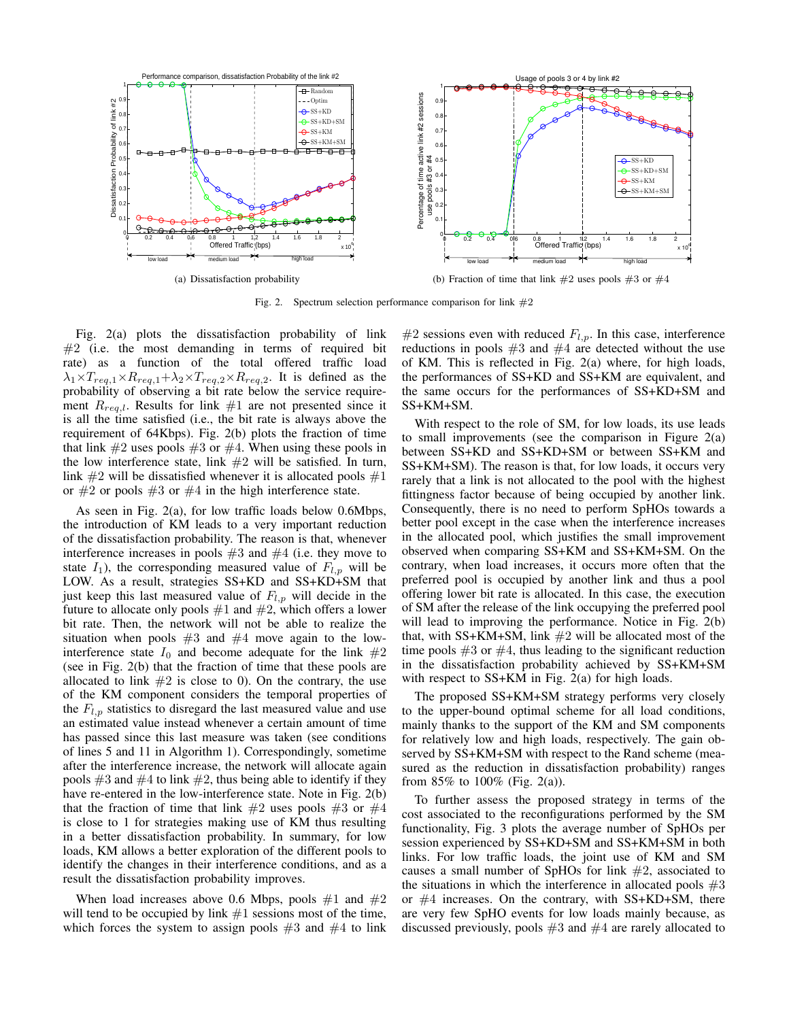

Fig. 2. Spectrum selection performance comparison for link  $#2$ 

Fig. 2(a) plots the dissatisfaction probability of link  $#2$  (i.e. the most demanding in terms of required bit rate) as a function of the total offered traffic load  $\lambda_1 \times T_{req,1} \times R_{req,1} + \lambda_2 \times T_{req,2} \times R_{req,2}$ . It is defined as the probability of observing a bit rate below the service requirement  $R_{req,l}$ . Results for link #1 are not presented since it is all the time satisfed (i.e., the bit rate is always above the requirement of 64Kbps). Fig. 2(b) plots the fraction of time that link  $\#2$  uses pools  $\#3$  or  $\#4$ . When using these pools in the low interference state, link  $#2$  will be satisfied. In turn, link  $#2$  will be dissatisfied whenever it is allocated pools  $#1$ or  $\#2$  or pools  $\#3$  or  $\#4$  in the high interference state.

As seen in Fig. 2(a), for low traffc loads below 0.6Mbps, the introduction of KM leads to a very important reduction of the dissatisfaction probability. The reason is that, whenever interference increases in pools  $#3$  and  $#4$  (i.e. they move to state  $I_1$ ), the corresponding measured value of  $F_{l,p}$  will be LOW. As a result, strategies SS+KD and SS+KD+SM that just keep this last measured value of  $F_{l,p}$  will decide in the future to allocate only pools  $#1$  and  $#2$ , which offers a lower bit rate. Then, the network will not be able to realize the situation when pools  $#3$  and  $#4$  move again to the lowinterference state  $I_0$  and become adequate for the link  $#2$ (see in Fig. 2(b) that the fraction of time that these pools are allocated to link  $#2$  is close to 0). On the contrary, the use of the KM component considers the temporal properties of the  $F_{l,p}$  statistics to disregard the last measured value and use an estimated value instead whenever a certain amount of time has passed since this last measure was taken (see conditions of lines 5 and 11 in Algorithm 1). Correspondingly, sometime after the interference increase, the network will allocate again pools  $#3$  and  $#4$  to link  $#2$ , thus being able to identify if they have re-entered in the low-interference state. Note in Fig. 2(b) that the fraction of time that link  $#2$  uses pools  $#3$  or  $#4$ is close to 1 for strategies making use of KM thus resulting in a better dissatisfaction probability. In summary, for low loads, KM allows a better exploration of the different pools to identify the changes in their interference conditions, and as a result the dissatisfaction probability improves.

When load increases above 0.6 Mbps, pools  $#1$  and  $#2$ will tend to be occupied by link  $#1$  sessions most of the time, which forces the system to assign pools  $#3$  and  $#4$  to link

 $#2$  sessions even with reduced  $F_{l,p}$ . In this case, interference reductions in pools  $#3$  and  $#4$  are detected without the use of KM. This is refected in Fig. 2(a) where, for high loads, the performances of SS+KD and SS+KM are equivalent, and the same occurs for the performances of SS+KD+SM and SS+KM+SM.

With respect to the role of SM, for low loads, its use leads to small improvements (see the comparison in Figure  $2(a)$ ) between SS+KD and SS+KD+SM or between SS+KM and SS+KM+SM). The reason is that, for low loads, it occurs very rarely that a link is not allocated to the pool with the highest fttingness factor because of being occupied by another link. Consequently, there is no need to perform SpHOs towards a better pool except in the case when the interference increases in the allocated pool, which justifes the small improvement observed when comparing SS+KM and SS+KM+SM. On the contrary, when load increases, it occurs more often that the preferred pool is occupied by another link and thus a pool offering lower bit rate is allocated. In this case, the execution of SM after the release of the link occupying the preferred pool will lead to improving the performance. Notice in Fig. 2(b) that, with  $SS+KM+SM$ , link  $#2$  will be allocated most of the time pools  $#3$  or  $#4$ , thus leading to the significant reduction in the dissatisfaction probability achieved by SS+KM+SM with respect to SS+KM in Fig. 2(a) for high loads.

The proposed SS+KM+SM strategy performs very closely to the upper-bound optimal scheme for all load conditions, mainly thanks to the support of the KM and SM components for relatively low and high loads, respectively. The gain observed by  $SS+KM+SM$  with respect to the Rand scheme (measured as the reduction in dissatisfaction probability) ranges from  $85\%$  to  $100\%$  (Fig. 2(a)).

To further assess the proposed strategy in terms of the cost associated to the reconfgurations performed by the SM functionality, Fig. 3 plots the average number of SpHOs per session experienced by SS+KD+SM and SS+KM+SM in both links. For low traffic loads, the joint use of KM and SM causes a small number of SpHOs for link  $#2$ , associated to the situations in which the interference in allocated pools  $#3$ or  $#4$  increases. On the contrary, with  $SS+KD+SM$ , there are very few SpHO events for low loads mainly because, as discussed previously, pools  $#3$  and  $#4$  are rarely allocated to